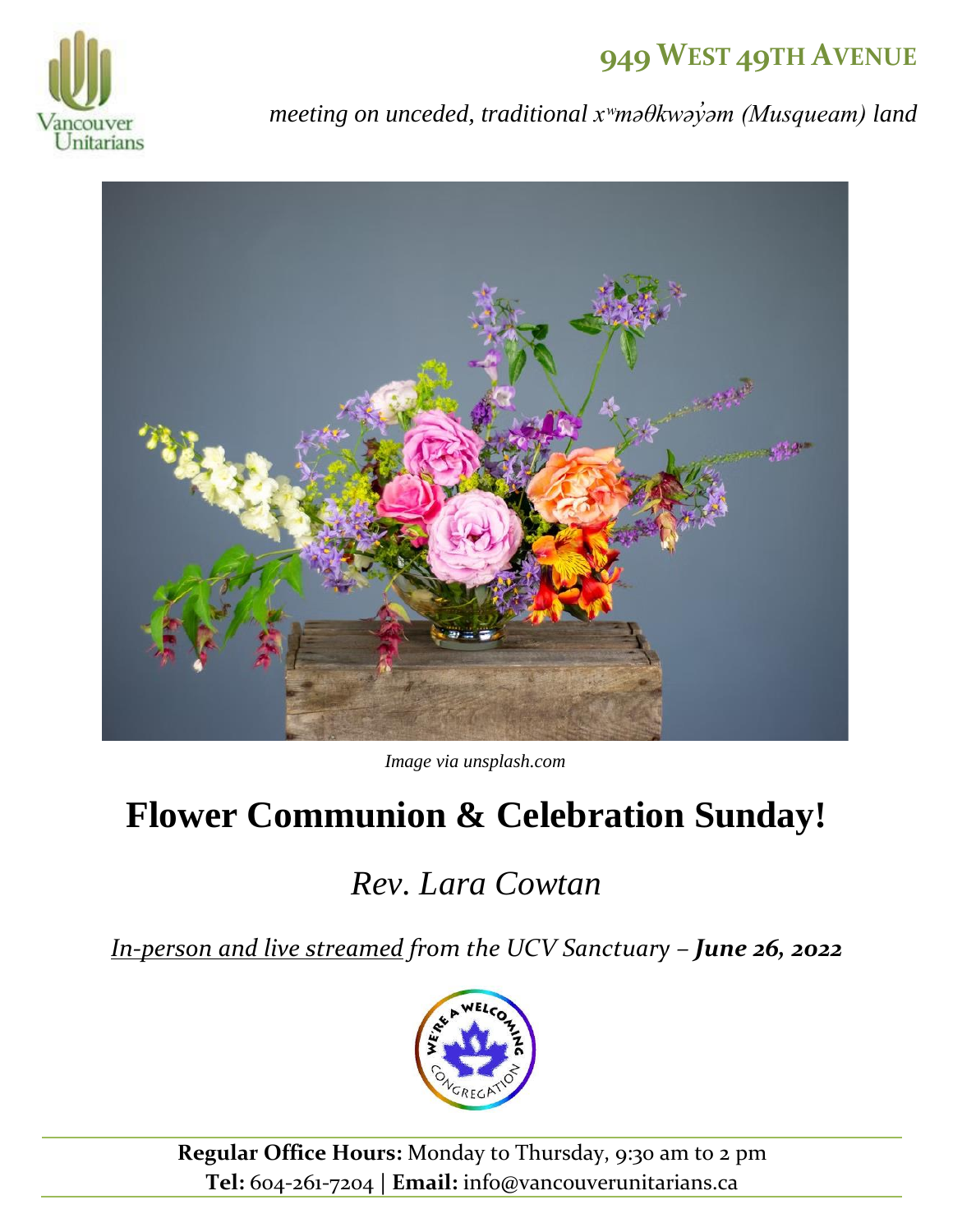## **949 WEST 49TH AVENUE**



*meeting on unceded, traditional xʷməθkwəy̓əm (Musqueam) land*



*Image via unsplash.com*

# **Flower Communion & Celebration Sunday!**

# *Rev. Lara Cowtan*

*[In-person and live](https://ucv.im/live) streamed from the UCV Sanctuary – June 26, 2022*



**Regular Office Hours:** Monday to Thursday, 9:30 am to 2 pm **Tel:** 604-261-7204 **| Email:** info@vancouverunitarians.ca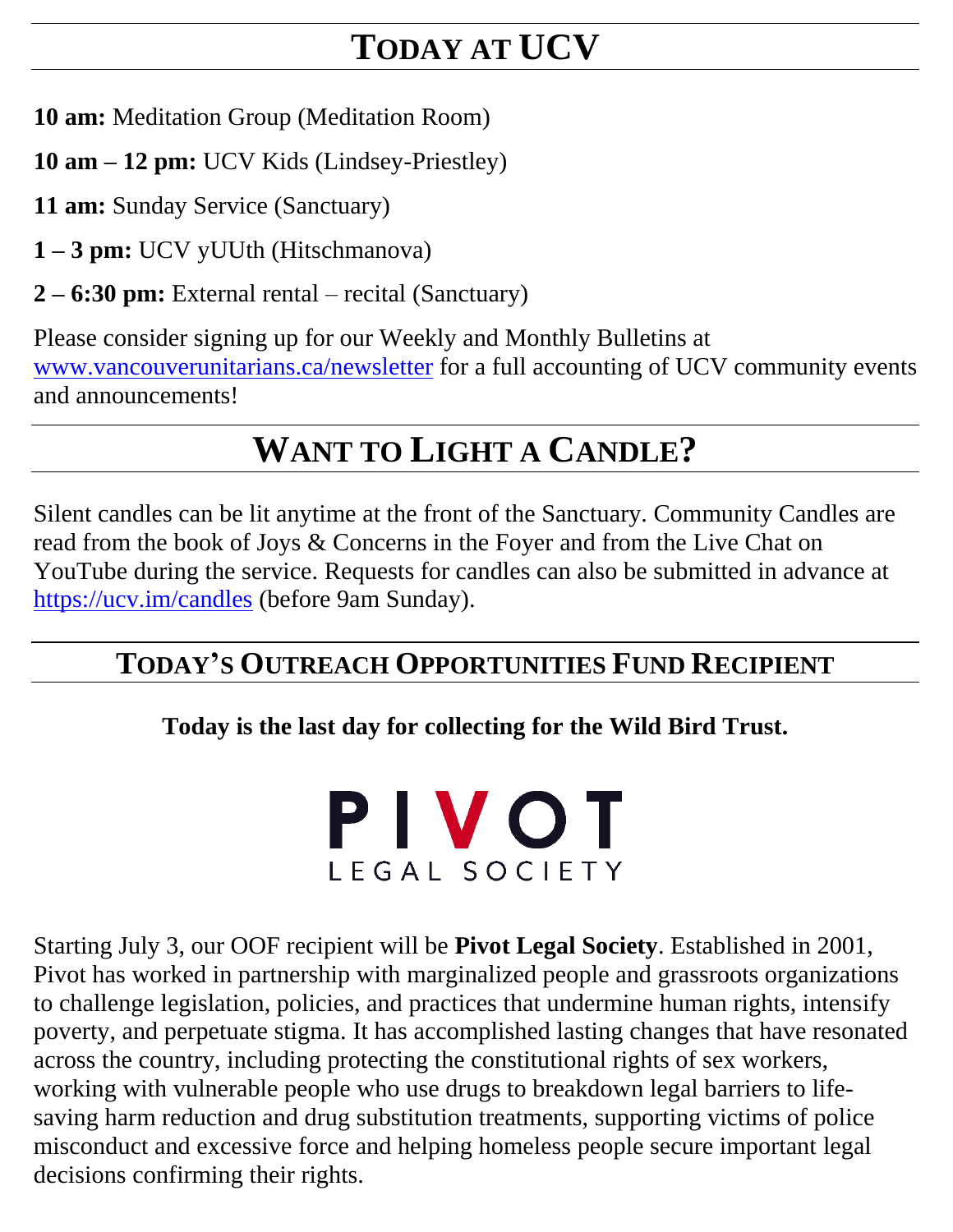# **TODAY AT UCV**

**10 am:** Meditation Group (Meditation Room)

**10 am – 12 pm:** UCV Kids (Lindsey-Priestley)

**11 am:** Sunday Service (Sanctuary)

**1 – 3 pm:** UCV yUUth (Hitschmanova)

**2 – 6:30 pm:** External rental – recital (Sanctuary)

Please consider signing up for our Weekly and Monthly Bulletins at [www.vancouverunitarians.ca/newsletter](http://www.vancouverunitarians.ca/newsletter) for a full accounting of UCV community events and announcements!

# **WANT TO LIGHT A CANDLE?**

Silent candles can be lit anytime at the front of the Sanctuary. Community Candles are read from the book of Joys & Concerns in the Foyer and from the Live Chat on YouTube during the service. Requests for candles can also be submitted in advance at <https://ucv.im/candles> (before 9am Sunday).

### **TODAY'S OUTREACH OPPORTUNITIES FUND RECIPIENT**

**Today is the last day for collecting for the Wild Bird Trust.**

PIVOT LEGAL SOCIETY

Starting July 3, our OOF recipient will be **Pivot Legal Society**. Established in 2001, Pivot has worked in partnership with marginalized people and grassroots organizations to challenge legislation, policies, and practices that undermine human rights, intensify poverty, and perpetuate stigma. It has accomplished lasting changes that have resonated across the country, including protecting the constitutional rights of sex workers, working with vulnerable people who use drugs to breakdown legal barriers to lifesaving harm reduction and drug substitution treatments, supporting victims of police misconduct and excessive force and helping homeless people secure important legal decisions confirming their rights.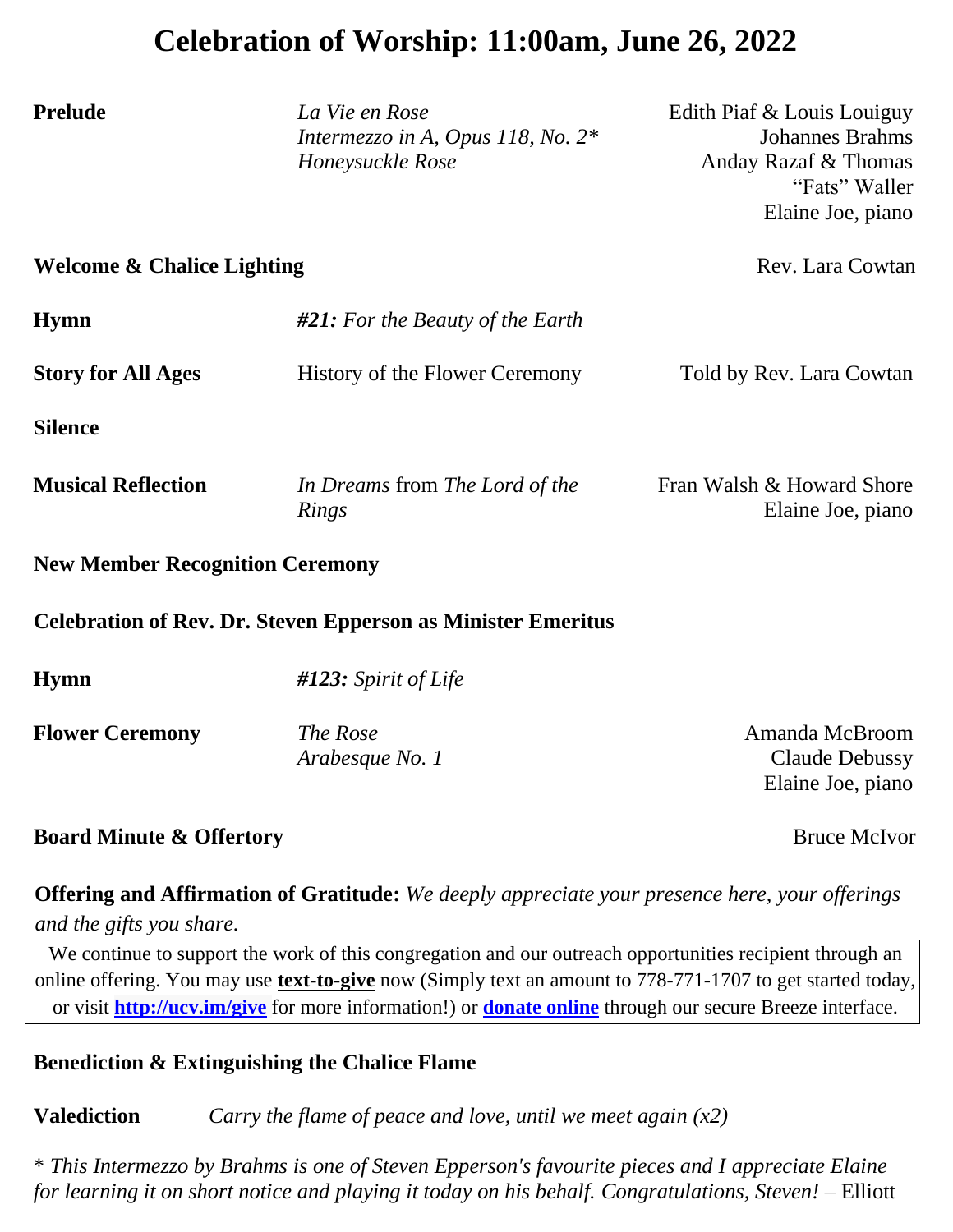### **Celebration of Worship: 11:00am, June 26, 2022**

**Prelude** *La Vie en Rose* Edith Piaf & Louis Louiguy

*Intermezzo in A, Opus 118, No. 2\** Johannes Brahms *Honeysuckle Rose* Anday Razaf & Thomas

### "Fats" Waller Elaine Joe, piano **Welcome & Chalice Lighting** Rev. Lara Cowtan **Hymn** *#21: For the Beauty of the Earth* **Story for All Ages** History of the Flower Ceremony Told by Rev. Lara Cowtan **Silence Musical Reflection** *In Dreams* from *The Lord of the Rings* Fran Walsh & Howard Shore Elaine Joe, piano **New Member Recognition Ceremony Celebration of Rev. Dr. Steven Epperson as Minister Emeritus Hymn** *#123: Spirit of Life* **Flower Ceremony** *The Rose Arabesque No. 1* Amanda McBroom Claude Debussy

#### **Board Minute & Offertory** Bruce McIvor

Elaine Joe, piano

 **Offering and Affirmation of Gratitude:** *We deeply appreciate your presence here, your offerings and the gifts you share.*

We continue to support the work of this congregation and our outreach opportunities recipient through an online offering. You may use **text-to-give** now (Simply text an amount to 778-771-1707 to get started today, or visit **<http://ucv.im/give>** for more information!) or **[donate online](https://vancouver.breezechms.com/give/online)** through our secure Breeze interface.

#### **Benediction & Extinguishing the Chalice Flame**

**Valediction** *Carry the flame of peace and love, until we meet again (x2)*

\* *This Intermezzo by Brahms is one of Steven Epperson's favourite pieces and I appreciate Elaine for learning it on short notice and playing it today on his behalf. Congratulations, Steven!* – Elliott